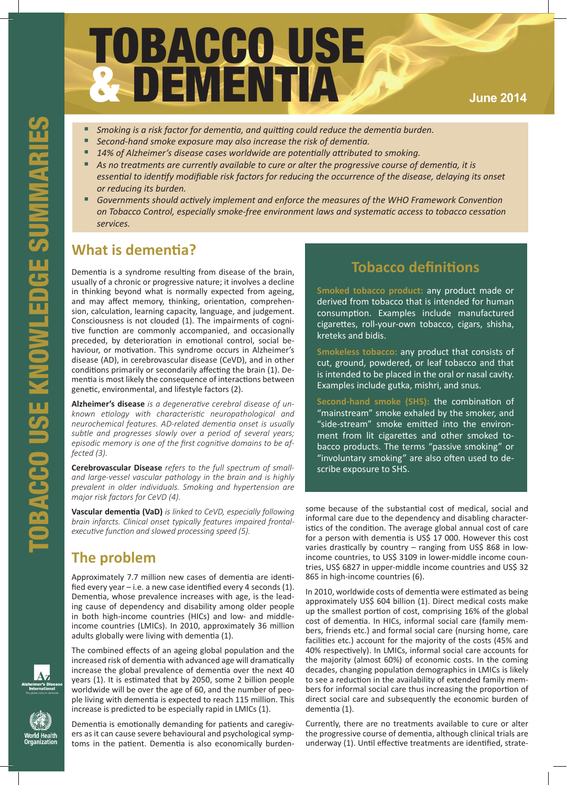# TOBACCO USE & DEMENTIA **June <sup>2014</sup>**

- *Smoking is a risk factor for dementia, and quitting could reduce the dementia burden.*
- Second-hand smoke exposure may also increase the risk of dementia.
- **14% of Alzheimer's disease cases worldwide are potentially attributed to smoking.**
- As no treatments are currently available to cure or alter the progressive course of dementia, it is *essential to identify modifiable risk factors for reducing the occurrence of the disease, delaying its onset or reducing its burden.*
- Governments should actively implement and enforce the measures of the WHO Framework Convention *on Tobacco Control, especially smoke-free environment laws and systematic access to tobacco cessation services.*

Frame States of Alzheimer's disease<br>
1.4% of Alzheimer's disease<br>
1.4% of Alzheimer's disease<br>
1.4% of Alzheimer's disease<br>
1.4% of Alzheimer's disease<br>
or reducing its burden.<br>
Towernments should active<br>
or reducing its b Dementia is a syndrome resulting from disease of the brain, usually of a chronic or progressive nature; it involves a decline in thinking beyond what is normally expected from ageing, and may affect memory, thinking, orientation, comprehension, calculation, learning capacity, language, and judgement. Consciousness is not clouded (1). The impairments of cognitive function are commonly accompanied, and occasionally preceded, by deterioration in emotional control, social behaviour, or motivation. This syndrome occurs in Alzheimer's disease (AD), in cerebrovascular disease (CeVD), and in other conditions primarily or secondarily affecting the brain (1). Dementia is most likely the consequence of interactions between genetic, environmental, and lifestyle factors (2).

**Alzheimer's disease** *is a degenerative cerebral disease of unknown etiology with characteristic neuropathological and neurochemical features. AD-related dementia onset is usually subtle and progresses slowly over a period of several years; episodic memory is one of the first cognitive domains to be affected (3).* 

**Cerebrovascular Disease** *refers to the full spectrum of smalland large-vessel vascular pathology in the brain and is highly prevalent in older individuals. Smoking and hypertension are major risk factors for CeVD (4).*

**Vascular dementia (VaD)** *is linked to CeVD, especially following brain infarcts. Clinical onset typically features impaired frontalexecutive function and slowed processing speed (5).*

### **The problem**

Approximately 7.7 million new cases of dementia are identified every year – i.e. a new case identified every 4 seconds (1). Dementia, whose prevalence increases with age, is the leading cause of dependency and disability among older people in both high-income countries (HICs) and low- and middleincome countries (LMICs). In 2010, approximately 36 million adults globally were living with dementia (1).

The combined effects of an ageing global population and the increased risk of dementia with advanced age will dramatically increase the global prevalence of dementia over the next 40 years (1). It is estimated that by 2050, some 2 billion people worldwide will be over the age of 60, and the number of people living with dementia is expected to reach 115 million. This increase is predicted to be especially rapid in LMICs (1).

Dementia is emotionally demanding for patients and caregivers as it can cause severe behavioural and psychological symptoms in the patient. Dementia is also economically burden-

# **Tobacco definitions**

**Smoked tobacco product:** any product made or derived from tobacco that is intended for human consumption. Examples include manufactured cigarettes, roll-your-own tobacco, cigars, shisha, kreteks and bidis.

**Smokeless tobacco:** any product that consists of cut, ground, powdered, or leaf tobacco and that is intended to be placed in the oral or nasal cavity. Examples include gutka, mishri, and snus.

**Second-hand smoke (SHS):** the combination of "mainstream" smoke exhaled by the smoker, and "side-stream" smoke emitted into the environment from lit cigarettes and other smoked tobacco products. The terms "passive smoking" or "involuntary smoking" are also often used to describe exposure to SHS.

some because of the substantial cost of medical, social and informal care due to the dependency and disabling characteristics of the condition. The average global annual cost of care for a person with dementia is US\$ 17 000. However this cost varies drastically by country – ranging from US\$ 868 in lowincome countries, to US\$ 3109 in lower-middle income countries, US\$ 6827 in upper-middle income countries and US\$ 32 865 in high-income countries (6).

In 2010, worldwide costs of dementia were estimated as being approximately US\$ 604 billion (1). Direct medical costs make up the smallest portion of cost, comprising 16% of the global cost of dementia. In HICs, informal social care (family members, friends etc.) and formal social care (nursing home, care facilities etc.) account for the majority of the costs (45% and 40% respectively). In LMICs, informal social care accounts for the majority (almost 60%) of economic costs. In the coming decades, changing population demographics in LMICs is likely to see a reduction in the availability of extended family members for informal social care thus increasing the proportion of direct social care and subsequently the economic burden of dementia (1).

Currently, there are no treatments available to cure or alter the progressive course of dementia, although clinical trials are underway (1). Until effective treatments are identified, strate-



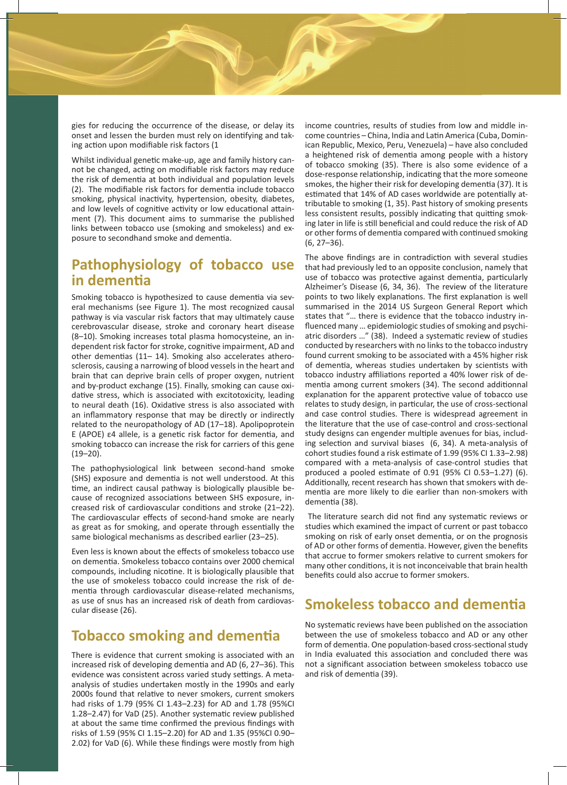gies for reducing the occurrence of the disease, or delay its onset and lessen the burden must rely on identifying and taking action upon modifiable risk factors (1

Whilst individual genetic make-up, age and family history cannot be changed, acting on modifiable risk factors may reduce the risk of dementia at both individual and population levels (2). The modifiable risk factors for dementia include tobacco smoking, physical inactivity, hypertension, obesity, diabetes, and low levels of cognitive activity or low educational attainment (7). This document aims to summarise the published links between tobacco use (smoking and smokeless) and exposure to secondhand smoke and dementia.

#### **Pathophysiology of tobacco use in dementia**

Smoking tobacco is hypothesized to cause dementia via several mechanisms (see Figure 1). The most recognized causal pathway is via vascular risk factors that may ultimately cause cerebrovascular disease, stroke and coronary heart disease (8–10). Smoking increases total plasma homocysteine, an independent risk factor for stroke, cognitive impairment, AD and other dementias (11– 14). Smoking also accelerates atherosclerosis, causing a narrowing of blood vessels in the heart and brain that can deprive brain cells of proper oxygen, nutrient and by-product exchange (15). Finally, smoking can cause oxidative stress, which is associated with excitotoxicity, leading to neural death (16). Oxidative stress is also associated with an inflammatory response that may be directly or indirectly related to the neuropathology of AD (17–18). Apolipoprotein E (APOE) ε4 allele, is a genetic risk factor for dementia, and smoking tobacco can increase the risk for carriers of this gene  $(19-20)$ .

The pathophysiological link between second-hand smoke (SHS) exposure and dementia is not well understood. At this time, an indirect causal pathway is biologically plausible because of recognized associations between SHS exposure, increased risk of cardiovascular conditions and stroke (21–22). The cardiovascular effects of second-hand smoke are nearly as great as for smoking, and operate through essentially the same biological mechanisms as described earlier (23–25).

Even less is known about the effects of smokeless tobacco use on dementia. Smokeless tobacco contains over 2000 chemical compounds, including nicotine. It is biologically plausible that the use of smokeless tobacco could increase the risk of dementia through cardiovascular disease-related mechanisms, as use of snus has an increased risk of death from cardiovascular disease (26).

#### **Tobacco smoking and dementia**

There is evidence that current smoking is associated with an increased risk of developing dementia and AD (6, 27–36). This evidence was consistent across varied study settings. A metaanalysis of studies undertaken mostly in the 1990s and early 2000s found that relative to never smokers, current smokers had risks of 1.79 (95% CI 1.43–2.23) for AD and 1.78 (95%CI 1.28–2.47) for VaD (25). Another systematic review published at about the same time confirmed the previous findings with risks of 1.59 (95% CI 1.15–2.20) for AD and 1.35 (95%CI 0.90– 2.02) for VaD (6). While these findings were mostly from high

income countries, results of studies from low and middle income countries – China, India and Latin America (Cuba, Dominican Republic, Mexico, Peru, Venezuela) – have also concluded a heightened risk of dementia among people with a history of tobacco smoking (35). There is also some evidence of a dose-response relationship, indicating that the more someone smokes, the higher their risk for developing dementia (37). It is estimated that 14% of AD cases worldwide are potentially attributable to smoking (1, 35). Past history of smoking presents less consistent results, possibly indicating that quitting smoking later in life is still beneficial and could reduce the risk of AD or other forms of dementia compared with continued smoking (6, 27–36).

The above findings are in contradiction with several studies that had previously led to an opposite conclusion, namely that use of tobacco was protective against dementia, particularly Alzheimer's Disease (6, 34, 36). The review of the literature points to two likely explanations. The first explanation is well summarised in the 2014 US Surgeon General Report which states that "… there is evidence that the tobacco industry influenced many … epidemiologic studies of smoking and psychiatric disorders …" (38). Indeed a systematic review of studies conducted by researchers with no links to the tobacco industry found current smoking to be associated with a 45% higher risk of dementia, whereas studies undertaken by scientists with tobacco industry affiliations reported a 40% lower risk of dementia among current smokers (34). The second additionnal explanation for the apparent protective value of tobacco use relates to study design, in particular, the use of cross-sectional and case control studies. There is widespread agreement in the literature that the use of case-control and cross-sectional study designs can engender multiple avenues for bias, including selection and survival biases (6, 34). A meta-analysis of cohort studies found a risk estimate of 1.99 (95% CI 1.33–2.98) compared with a meta-analysis of case-control studies that produced a pooled estimate of 0.91 (95% CI 0.53–1.27) (6). Additionally, recent research has shown that smokers with dementia are more likely to die earlier than non-smokers with dementia (38).

 The literature search did not find any systematic reviews or studies which examined the impact of current or past tobacco smoking on risk of early onset dementia, or on the prognosis of AD or other forms of dementia. However, given the benefits that accrue to former smokers relative to current smokers for many other conditions, it is not inconceivable that brain health benefits could also accrue to former smokers.

#### **Smokeless tobacco and dementia**

No systematic reviews have been published on the association between the use of smokeless tobacco and AD or any other form of dementia. One population-based cross-sectional study in India evaluated this association and concluded there was not a significant association between smokeless tobacco use and risk of dementia (39).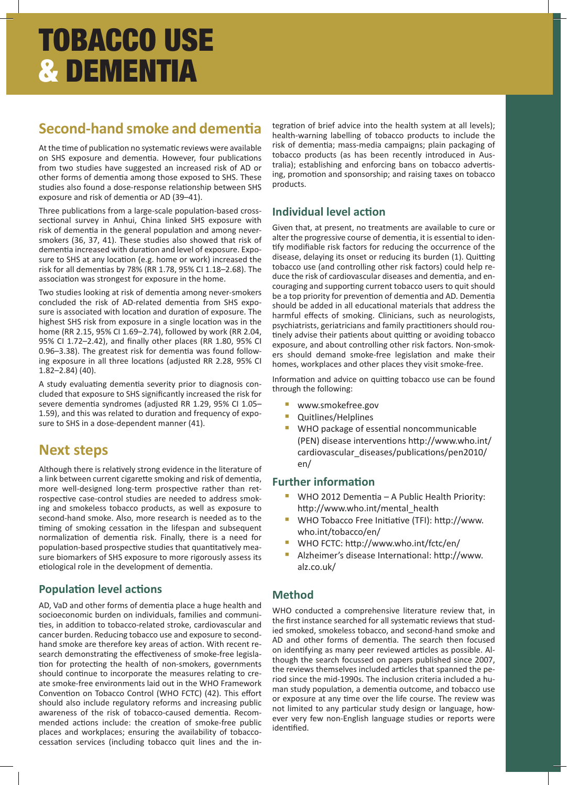# TOBACCO USE & DEMENTIA

# **Second-hand smoke and dementia**

At the time of publication no systematic reviews were available on SHS exposure and dementia. However, four publications from two studies have suggested an increased risk of AD or other forms of dementia among those exposed to SHS. These studies also found a dose-response relationship between SHS exposure and risk of dementia or AD (39–41).

Three publications from a large-scale population-based crosssectional survey in Anhui, China linked SHS exposure with risk of dementia in the general population and among neversmokers (36, 37, 41). These studies also showed that risk of dementia increased with duration and level of exposure. Exposure to SHS at any location (e.g. home or work) increased the risk for all dementias by 78% (RR 1.78, 95% CI 1.18–2.68). The association was strongest for exposure in the home.

Two studies looking at risk of dementia among never-smokers concluded the risk of AD-related dementia from SHS exposure is associated with location and duration of exposure. The highest SHS risk from exposure in a single location was in the home (RR 2.15, 95% CI 1.69–2.74), followed by work (RR 2.04, 95% CI 1.72–2.42), and finally other places (RR 1.80, 95% CI 0.96–3.38). The greatest risk for dementia was found following exposure in all three locations (adjusted RR 2.28, 95% CI 1.82–2.84) (40).

A study evaluating dementia severity prior to diagnosis concluded that exposure to SHS significantly increased the risk for severe dementia syndromes (adjusted RR 1.29, 95% CI 1.05– 1.59), and this was related to duration and frequency of exposure to SHS in a dose-dependent manner (41).

### **Next steps**

Although there is relatively strong evidence in the literature of a link between current cigarette smoking and risk of dementia, more well-designed long-term prospective rather than retrospective case-control studies are needed to address smoking and smokeless tobacco products, as well as exposure to second-hand smoke. Also, more research is needed as to the timing of smoking cessation in the lifespan and subsequent normalization of dementia risk. Finally, there is a need for population-based prospective studies that quantitatively measure biomarkers of SHS exposure to more rigorously assess its etiological role in the development of dementia.

#### **Population level actions**

AD, VaD and other forms of dementia place a huge health and socioeconomic burden on individuals, families and communities, in addition to tobacco-related stroke, cardiovascular and cancer burden. Reducing tobacco use and exposure to secondhand smoke are therefore key areas of action. With recent research demonstrating the effectiveness of smoke-free legislation for protecting the health of non-smokers, governments should continue to incorporate the measures relating to create smoke-free environments laid out in the WHO Framework Convention on Tobacco Control (WHO FCTC) (42). This effort should also include regulatory reforms and increasing public awareness of the risk of tobacco-caused dementia. Recommended actions include: the creation of smoke-free public places and workplaces; ensuring the availability of tobaccocessation services (including tobacco quit lines and the integration of brief advice into the health system at all levels); health-warning labelling of tobacco products to include the risk of dementia; mass-media campaigns; plain packaging of tobacco products (as has been recently introduced in Australia); establishing and enforcing bans on tobacco advertising, promotion and sponsorship; and raising taxes on tobacco products.

#### **Individual level action**

Given that, at present, no treatments are available to cure or alter the progressive course of dementia, it is essential to identify modifiable risk factors for reducing the occurrence of the disease, delaying its onset or reducing its burden (1). Quitting tobacco use (and controlling other risk factors) could help reduce the risk of cardiovascular diseases and dementia, and encouraging and supporting current tobacco users to quit should be a top priority for prevention of dementia and AD. Dementia should be added in all educational materials that address the harmful effects of smoking. Clinicians, such as neurologists, psychiatrists, geriatricians and family practitioners should routinely advise their patients about quitting or avoiding tobacco exposure, and about controlling other risk factors. Non-smokers should demand smoke-free legislation and make their homes, workplaces and other places they visit smoke-free.

Information and advice on quitting tobacco use can be found through the following:

- **www.smokefree.gov**<br>▪ Ouitlines/Helplines
- **Quitlines/Helplines**
- WHO package of essential noncommunicable (PEN) disease interventions http://www.who.int/ cardiovascular\_diseases/publications/pen2010/ en/

#### **Further information**

- WHO 2012 Dementia A Public Health Priority: http://www.who.int/mental\_health
- WHO Tobacco Free Initiative (TFI): http://www. who.int/tobacco/en/
- WHO FCTC: http://www.who.int/fctc/en/
- Alzheimer's disease International: http://www. alz.co.uk/

#### **Method**

WHO conducted a comprehensive literature review that, in the first instance searched for all systematic reviews that studied smoked, smokeless tobacco, and second-hand smoke and AD and other forms of dementia. The search then focused on identifying as many peer reviewed articles as possible. Although the search focussed on papers published since 2007, the reviews themselves included articles that spanned the period since the mid-1990s. The inclusion criteria included a human study population, a dementia outcome, and tobacco use or exposure at any time over the life course. The review was not limited to any particular study design or language, however very few non-English language studies or reports were identified.